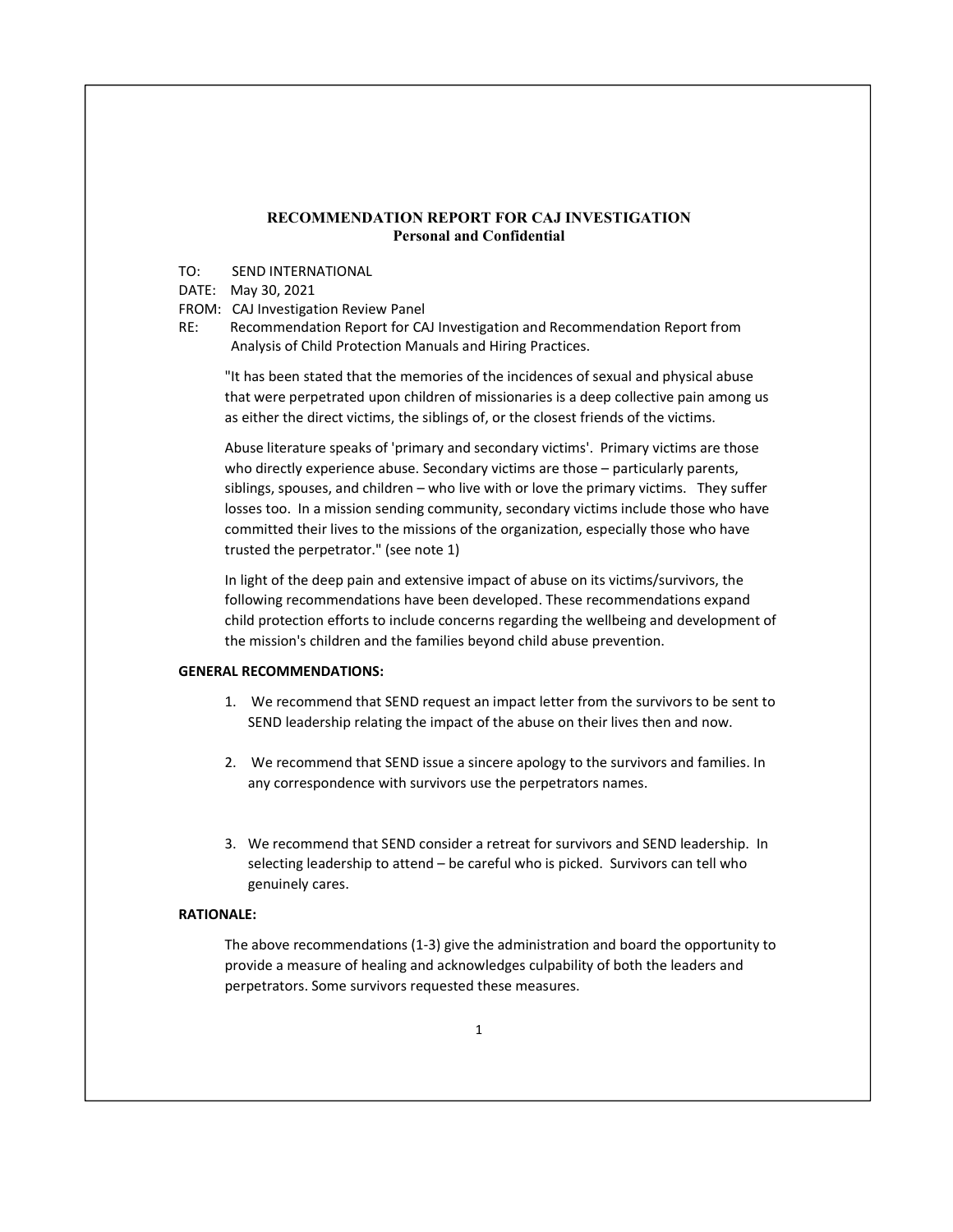## RECOMMENDATION REPORT FOR CAJ INVESTIGATION Personal and Confidential

TO: SEND INTERNATIONAL

## DATE: May 30, 2021

- FROM: CAJ Investigation Review Panel
- RE: Recommendation Report for CAJ Investigation and Recommendation Report from Analysis of Child Protection Manuals and Hiring Practices.

"It has been stated that the memories of the incidences of sexual and physical abuse that were perpetrated upon children of missionaries is a deep collective pain among us as either the direct victims, the siblings of, or the closest friends of the victims.

Abuse literature speaks of 'primary and secondary victims'. Primary victims are those who directly experience abuse. Secondary victims are those – particularly parents, siblings, spouses, and children – who live with or love the primary victims. They suffer losses too. In a mission sending community, secondary victims include those who have committed their lives to the missions of the organization, especially those who have trusted the perpetrator." (see note 1)

In light of the deep pain and extensive impact of abuse on its victims/survivors, the following recommendations have been developed. These recommendations expand child protection efforts to include concerns regarding the wellbeing and development of the mission's children and the families beyond child abuse prevention.

# GENERAL RECOMMENDATIONS:

- 1. We recommend that SEND request an impact letter from the survivors to be sent to SEND leadership relating the impact of the abuse on their lives then and now.
- 2. We recommend that SEND issue a sincere apology to the survivors and families. In any correspondence with survivors use the perpetrators names.
- 3. We recommend that SEND consider a retreat for survivors and SEND leadership. In selecting leadership to attend – be careful who is picked. Survivors can tell who genuinely cares.

# RATIONALE:

The above recommendations (1-3) give the administration and board the opportunity to provide a measure of healing and acknowledges culpability of both the leaders and perpetrators. Some survivors requested these measures.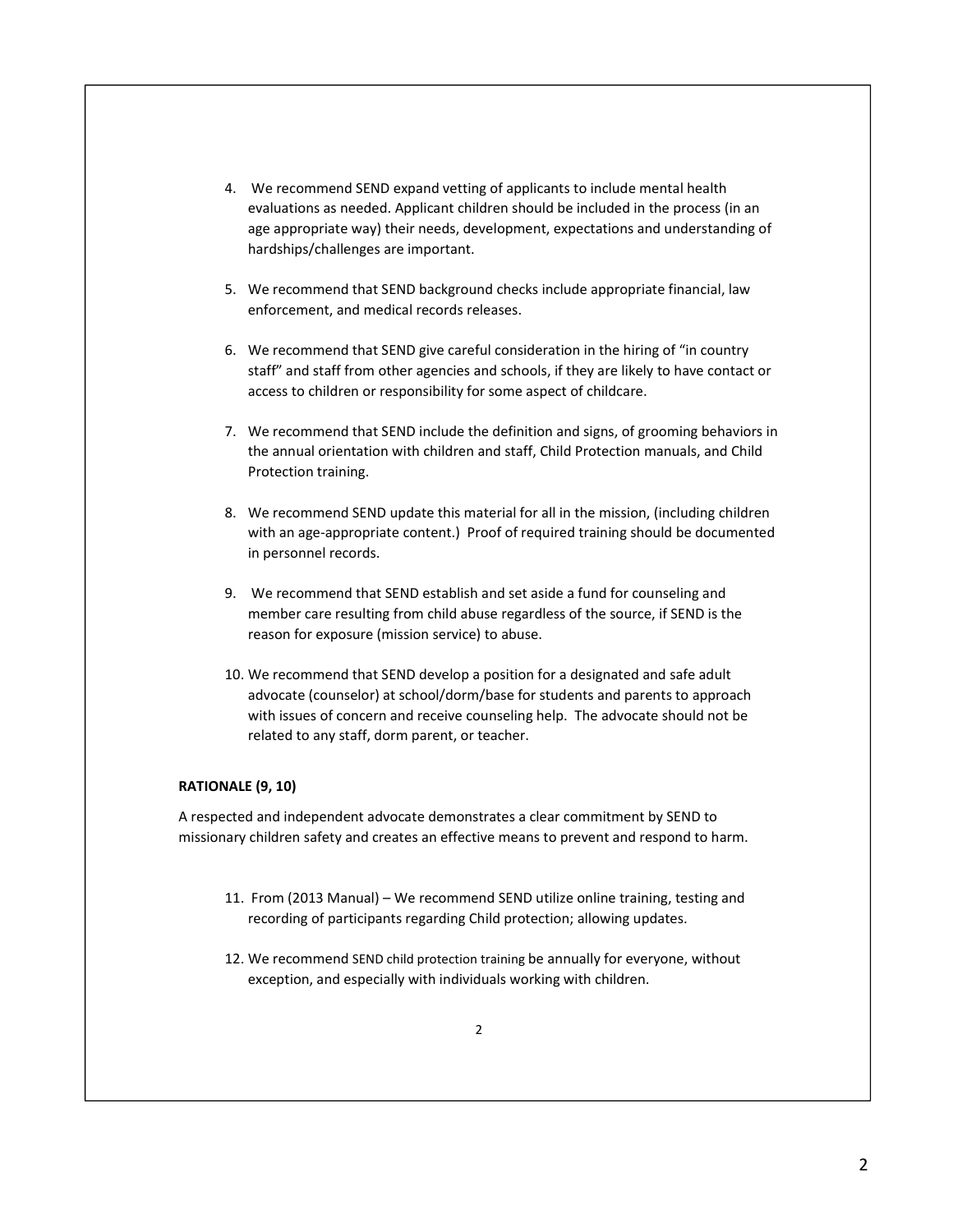- 4. We recommend SEND expand vetting of applicants to include mental health evaluations as needed. Applicant children should be included in the process (in an age appropriate way) their needs, development, expectations and understanding of hardships/challenges are important.
- 5. We recommend that SEND background checks include appropriate financial, law enforcement, and medical records releases.
- 6. We recommend that SEND give careful consideration in the hiring of "in country staff" and staff from other agencies and schools, if they are likely to have contact or access to children or responsibility for some aspect of childcare.
- 7. We recommend that SEND include the definition and signs, of grooming behaviors in the annual orientation with children and staff, Child Protection manuals, and Child Protection training.
- 8. We recommend SEND update this material for all in the mission, (including children with an age-appropriate content.) Proof of required training should be documented in personnel records.
- 9. We recommend that SEND establish and set aside a fund for counseling and member care resulting from child abuse regardless of the source, if SEND is the reason for exposure (mission service) to abuse.
- 10. We recommend that SEND develop a position for a designated and safe adult advocate (counselor) at school/dorm/base for students and parents to approach with issues of concern and receive counseling help. The advocate should not be related to any staff, dorm parent, or teacher.

RATIONALE (9, 10)<br>A respected and independent advocate demonstrates a clear commitment by SEND to missionary children safety and creates an effective means to prevent and respond to harm.

- 11. From (2013 Manual) We recommend SEND utilize online training, testing and recording of participants regarding Child protection; allowing updates.
- 12. We recommend SEND child protection training be annually for everyone, without exception, and especially with individuals working with children.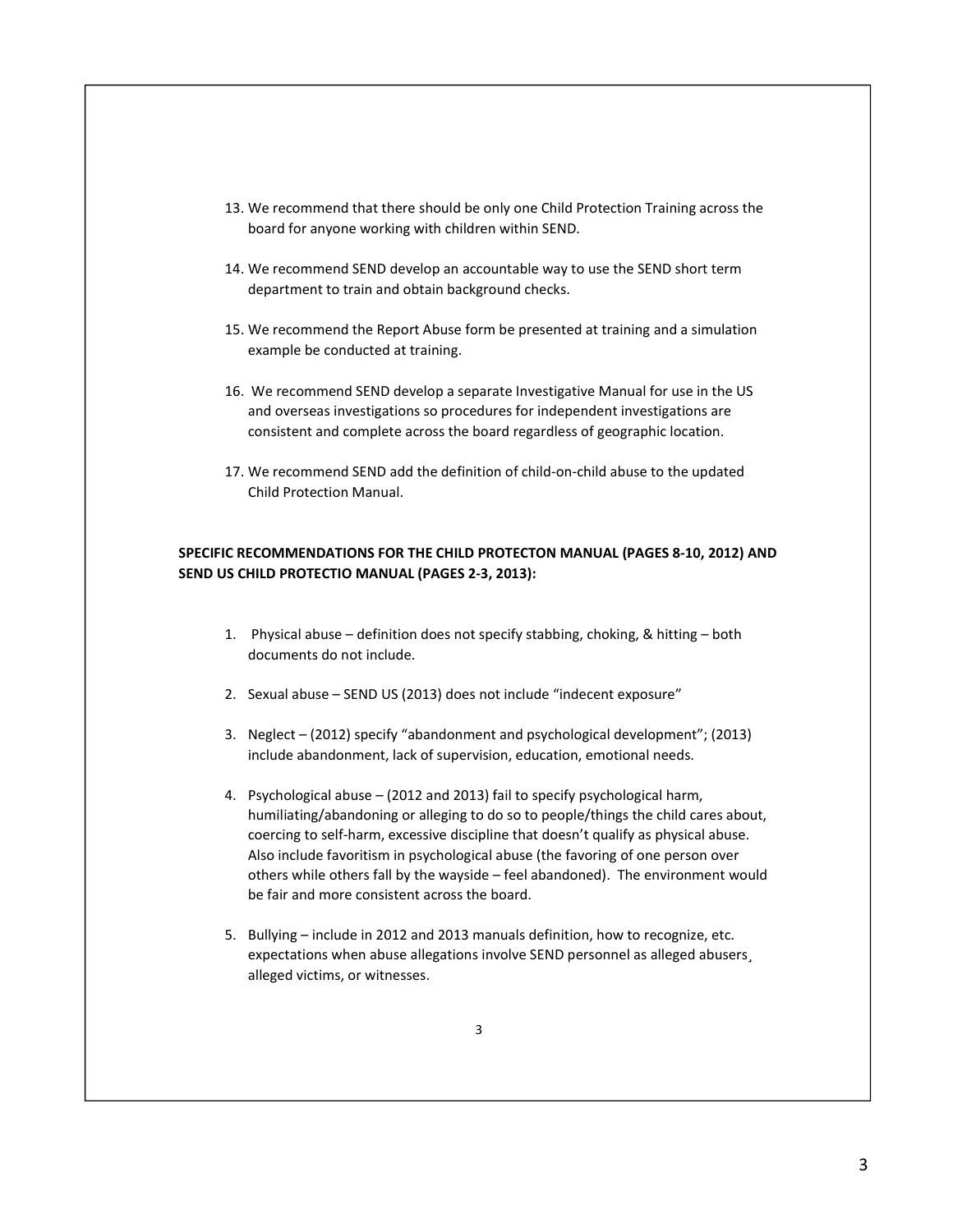- 13. We recommend that there should be only one Child Protection Training across the board for anyone working with children within SEND.
- 14. We recommend SEND develop an accountable way to use the SEND short term department to train and obtain background checks.
- 15. We recommend the Report Abuse form be presented at training and a simulation example be conducted at training.
- 16. We recommend SEND develop a separate Investigative Manual for use in the US and overseas investigations so procedures for independent investigations are consistent and complete across the board regardless of geographic location.
- 17. We recommend SEND add the definition of child-on-child abuse to the updated Child Protection Manual.

# SPECIFIC RECOMMENDATIONS FOR THE CHILD PROTECTON MANUAL (PAGES 8-10, 2012) AND SEND US CHILD PROTECTIO MANUAL (PAGES 2-3, 2013):

- 1. Physical abuse definition does not specify stabbing, choking, & hitting both documents do not include.
- 2. Sexual abuse SEND US (2013) does not include "indecent exposure"
- 3. Neglect (2012) specify "abandonment and psychological development"; (2013) include abandonment, lack of supervision, education, emotional needs.
- 4. Psychological abuse (2012 and 2013) fail to specify psychological harm, humiliating/abandoning or alleging to do so to people/things the child cares about, coercing to self-harm, excessive discipline that doesn't qualify as physical abuse. Also include favoritism in psychological abuse (the favoring of one person over others while others fall by the wayside – feel abandoned). The environment would be fair and more consistent across the board.
- 5. Bullying include in 2012 and 2013 manuals definition, how to recognize, etc. expectations when abuse allegations involve SEND personnel as alleged abusers¸ alleged victims, or witnesses.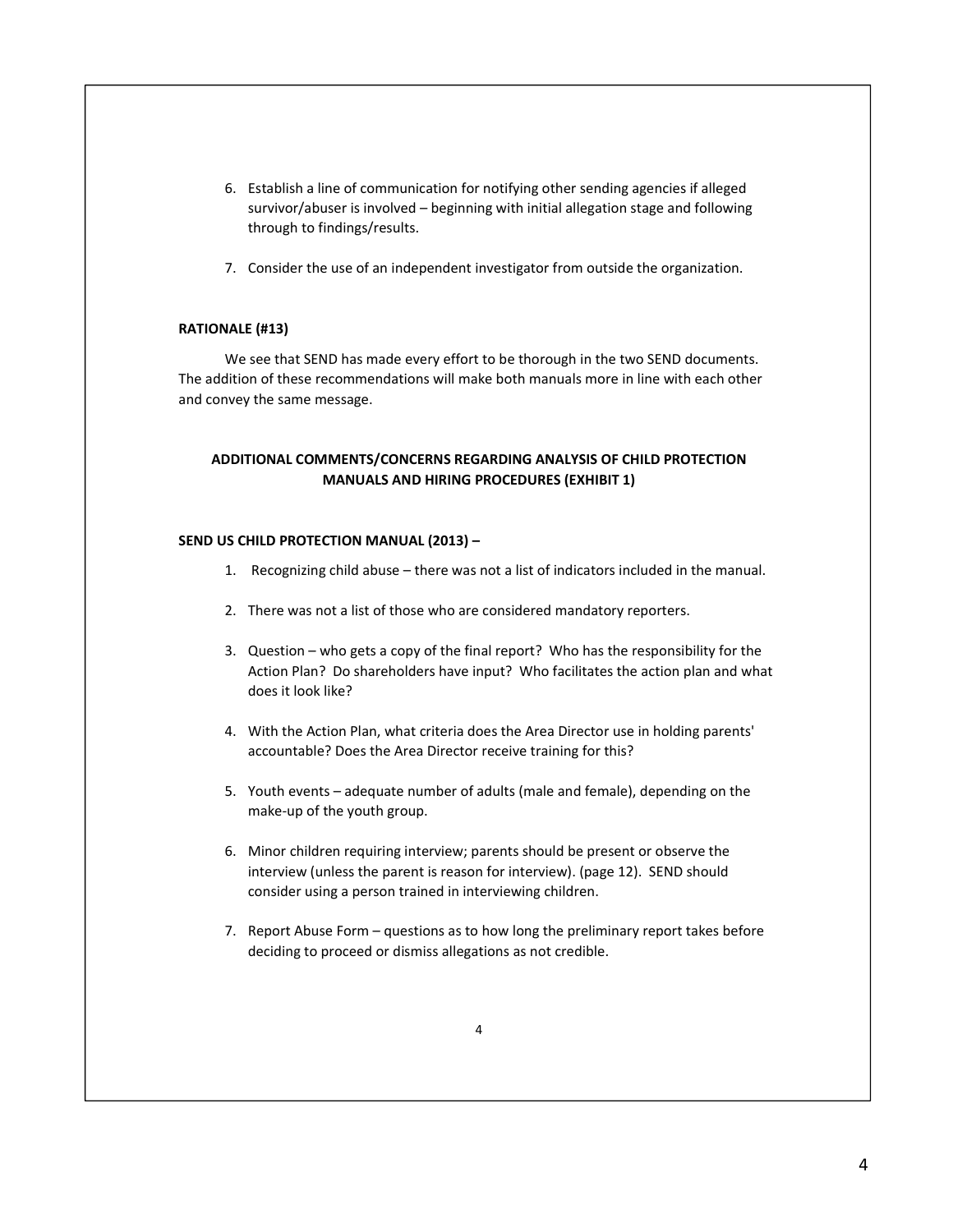- 6. Establish a line of communication for notifying other sending agencies if alleged survivor/abuser is involved – beginning with initial allegation stage and following through to findings/results.
- 7. Consider the use of an independent investigator from outside the organization.

## RATIONALE (#13)

 We see that SEND has made every effort to be thorough in the two SEND documents. The addition of these recommendations will make both manuals more in line with each other and convey the same message.

# ADDITIONAL COMMENTS/CONCERNS REGARDING ANALYSIS OF CHILD PROTECTION MANUALS AND HIRING PROCEDURES (EXHIBIT 1)

## SEND US CHILD PROTECTION MANUAL (2013) –

- 1. Recognizing child abuse there was not a list of indicators included in the manual.
- 2. There was not a list of those who are considered mandatory reporters.
- 3. Question who gets a copy of the final report? Who has the responsibility for the Action Plan? Do shareholders have input? Who facilitates the action plan and what does it look like?
- 4. With the Action Plan, what criteria does the Area Director use in holding parents' accountable? Does the Area Director receive training for this?
- 5. Youth events adequate number of adults (male and female), depending on the make-up of the youth group.
- 6. Minor children requiring interview; parents should be present or observe the interview (unless the parent is reason for interview). (page 12). SEND should consider using a person trained in interviewing children.
- 7. Report Abuse Form questions as to how long the preliminary report takes before deciding to proceed or dismiss allegations as not credible.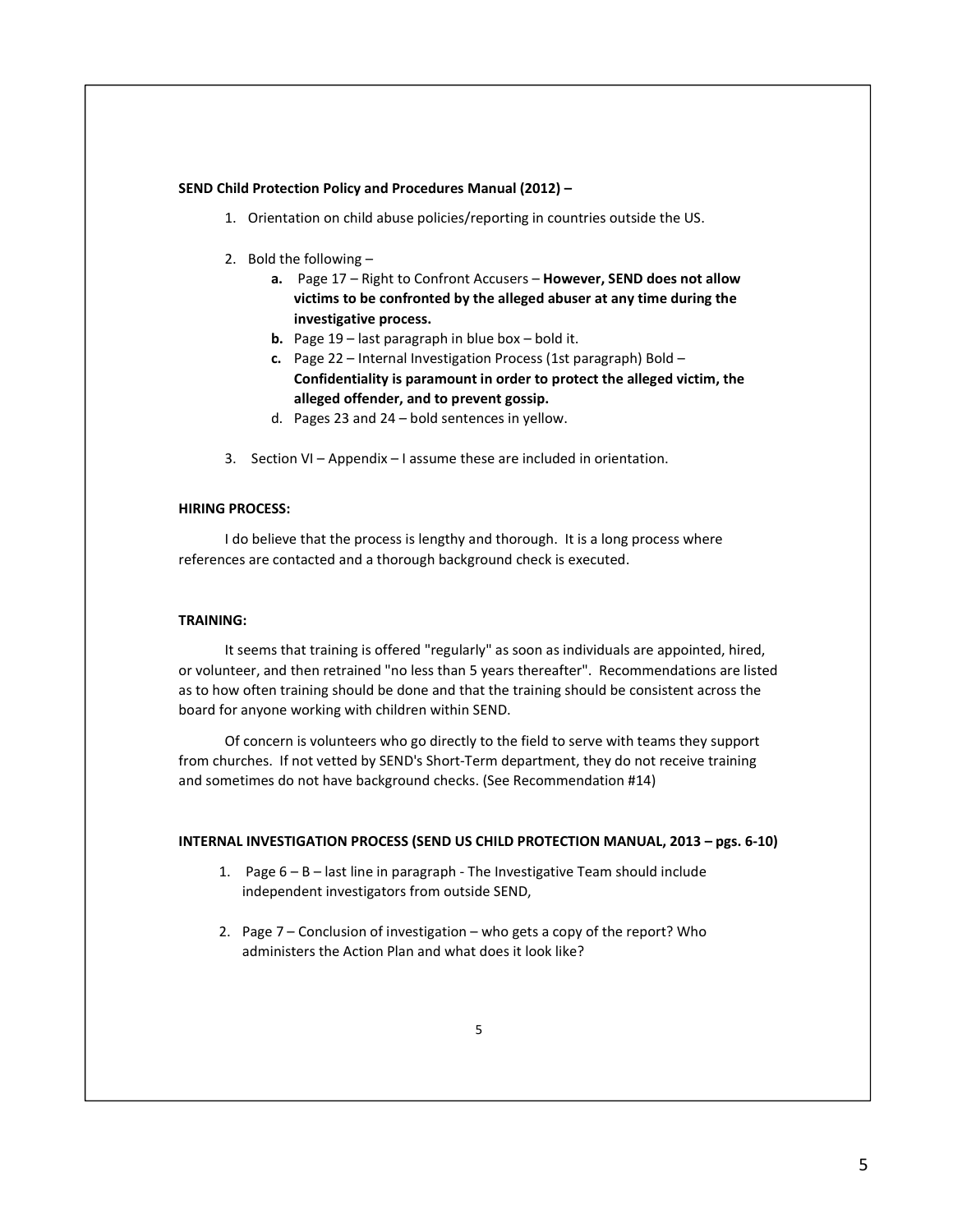### SEND Child Protection Policy and Procedures Manual (2012) –

- 1. Orientation on child abuse policies/reporting in countries outside the US.
- 2. Bold the following
	- a. Page 17 Right to Confront Accusers However, SEND does not allow victims to be confronted by the alleged abuser at any time during the investigative process.
	- **b.** Page  $19$  last paragraph in blue box bold it.
	- c. Page 22 Internal Investigation Process (1st paragraph) Bold Confidentiality is paramount in order to protect the alleged victim, the alleged offender, and to prevent gossip.
	- d. Pages 23 and 24 bold sentences in yellow.
- 3. Section VI Appendix I assume these are included in orientation.

## HIRING PROCESS:

I do believe that the process is lengthy and thorough. It is a long process where references are contacted and a thorough background check is executed.

### TRAINING:

It seems that training is offered "regularly" as soon as individuals are appointed, hired, or volunteer, and then retrained "no less than 5 years thereafter". Recommendations are listed as to how often training should be done and that the training should be consistent across the board for anyone working with children within SEND.

Of concern is volunteers who go directly to the field to serve with teams they support from churches. If not vetted by SEND's Short-Term department, they do not receive training and sometimes do not have background checks. (See Recommendation #14)

## INTERNAL INVESTIGATION PROCESS (SEND US CHILD PROTECTION MANUAL, 2013 – pgs. 6-10)

- 1. Page 6 B last line in paragraph The Investigative Team should include independent investigators from outside SEND,
- 2. Page 7 Conclusion of investigation who gets a copy of the report? Who administers the Action Plan and what does it look like?